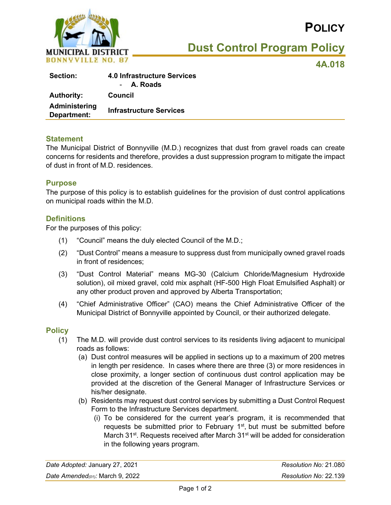

# **POLICY**

**Dust Control Program Policy**

**4A.018**

| <b>Section:</b>              | <b>4.0 Infrastructure Services</b><br>- A. Roads |
|------------------------------|--------------------------------------------------|
| <b>Authority:</b>            | Council                                          |
| Administering<br>Department: | <b>Infrastructure Services</b>                   |

#### **Statement**

The Municipal District of Bonnyville (M.D.) recognizes that dust from gravel roads can create concerns for residents and therefore, provides a dust suppression program to mitigate the impact of dust in front of M.D. residences.

#### **Purpose**

The purpose of this policy is to establish guidelines for the provision of dust control applications on municipal roads within the M.D.

#### **Definitions**

For the purposes of this policy:

- (1) "Council" means the duly elected Council of the M.D.;
- (2) "Dust Control" means a measure to suppress dust from municipally owned gravel roads in front of residences;
- (3) "Dust Control Material" means MG-30 (Calcium Chloride/Magnesium Hydroxide solution), oil mixed gravel, cold mix asphalt (HF-500 High Float Emulsified Asphalt) or any other product proven and approved by Alberta Transportation;
- (4) "Chief Administrative Officer" (CAO) means the Chief Administrative Officer of the Municipal District of Bonnyville appointed by Council, or their authorized delegate.

#### **Policy**

- (1) The M.D. will provide dust control services to its residents living adjacent to municipal roads as follows:
	- (a) Dust control measures will be applied in sections up to a maximum of 200 metres in length per residence. In cases where there are three (3) or more residences in close proximity, a longer section of continuous dust control application may be provided at the discretion of the General Manager of Infrastructure Services or his/her designate.
	- (b) Residents may request dust control services by submitting a Dust Control Request Form to the Infrastructure Services department.
		- (i) To be considered for the current year's program, it is recommended that requests be submitted prior to February  $1<sup>st</sup>$ , but must be submitted before March 31<sup>st</sup>. Requests received after March 31<sup>st</sup> will be added for consideration in the following years program.